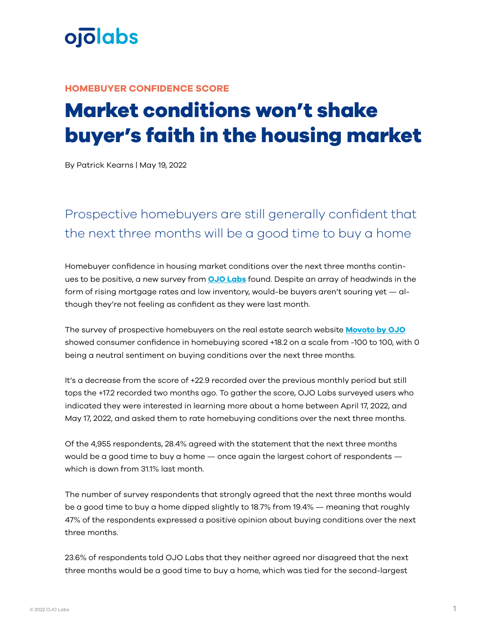

## **HOMEBUYER CONFIDENCE SCORE**

## **Market conditions won't shake buyer's faith in the housing market**

By Patrick Kearns | May 19, 2022

## Prospective homebuyers are still generally confident that the next three months will be a good time to buy a home

Homebuyer confidence in housing market conditions over the next three months continues to be positive, a new survey from **[OJO Labs](https://www.ojo.com)** found. Despite an array of headwinds in the form of rising mortgage rates and low inventory, would-be buyers aren't souring yet — although they're not feeling as confident as they were last month.

The survey of prospective homebuyers on the real estate search website **[Movoto by OJO](https://www.movoto.com)** showed consumer confidence in homebuying scored +18.2 on a scale from -100 to 100, with 0 being a neutral sentiment on buying conditions over the next three months.

It's a decrease from the score of +22.9 recorded over the previous monthly period but still tops the +17.2 recorded two months ago. To gather the score, OJO Labs surveyed users who indicated they were interested in learning more about a home between April 17, 2022, and May 17, 2022, and asked them to rate homebuying conditions over the next three months.

Of the 4,955 respondents, 28.4% agreed with the statement that the next three months would be a good time to buy a home — once again the largest cohort of respondents which is down from 31.1% last month.

The number of survey respondents that strongly agreed that the next three months would be a good time to buy a home dipped slightly to 18.7% from 19.4% — meaning that roughly 47% of the respondents expressed a positive opinion about buying conditions over the next three months.

23.6% of respondents told OJO Labs that they neither agreed nor disagreed that the next three months would be a good time to buy a home, which was tied for the second-largest